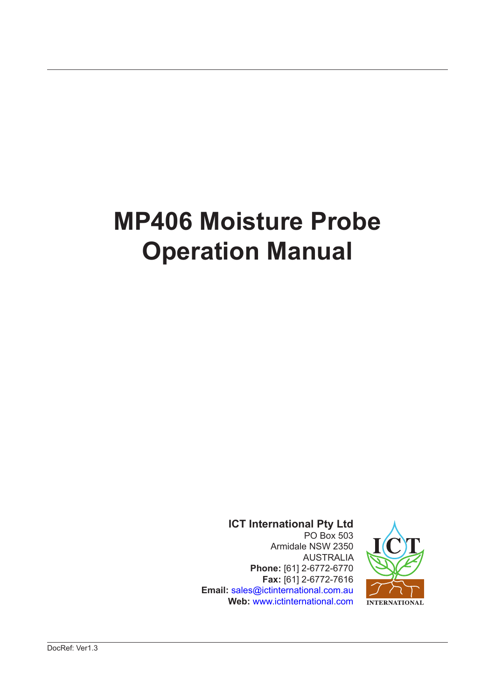# **MP406 Moisture Probe Operation Manual**

**ICT International Pty Ltd** PO Box 503 Armidale NSW 2350 AUSTRALIA **Phone:** [61] 2-6772-6770 **Fax:** [61] 2-6772-7616 **Email:** sales@ictinternational.com.au  **Web:** www.ictinternational.com

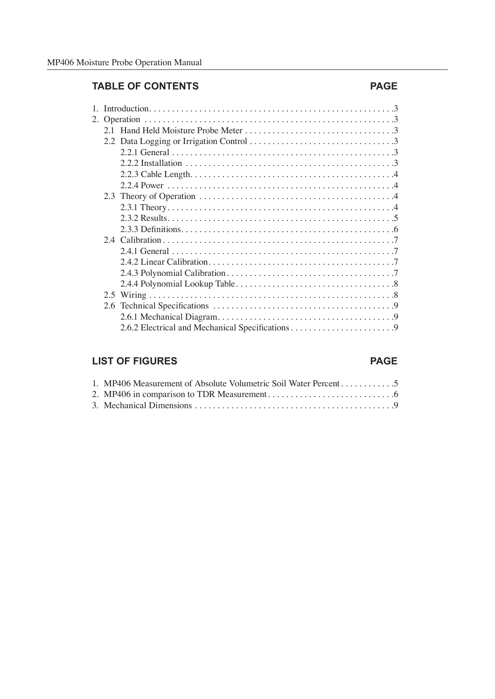#### **TABLE OF CONTENTS PAGE**

#### 1. Introduction . 3 2. Operation . 3 2.1 Hand Held Moisture Probe Meter . 3 2.2 Data Logging or Irrigation Control  $\dots \dots \dots \dots \dots \dots \dots \dots \dots \dots$ 2.2.1 General  $\ldots$   $\ldots$   $\ldots$   $\ldots$   $\ldots$   $\ldots$   $\ldots$   $\ldots$   $\ldots$   $\ldots$   $\ldots$   $\ldots$   $\ldots$   $\ldots$   $\ldots$ 2.2.2 Installation  $\dots \dots \dots \dots \dots \dots \dots \dots \dots \dots \dots \dots \dots \dots \dots$  $2.2.3$  Cable Length.  $\dots \dots \dots \dots \dots \dots \dots \dots \dots \dots \dots \dots \dots \dots \dots \dots$  2.2.4 Power . 4 2.3 Theory of Operation  $\dots \dots \dots \dots \dots \dots \dots \dots \dots \dots \dots \dots$ . 2.3.1 Theory . 4 2.3.2 Results . 5 2.3.3 Definitions  $\ldots$   $\ldots$   $\ldots$   $\ldots$   $\ldots$   $\ldots$   $\ldots$   $\ldots$   $\ldots$   $\ldots$   $\ldots$   $\ldots$   $\ldots$   $\ldots$   $\ldots$   $\ldots$   $\ldots$   $\ldots$   $\ldots$   $\ldots$   $\ldots$   $\ldots$   $\ldots$   $\ldots$   $\ldots$   $\ldots$   $\ldots$   $\ldots$   $\ldots$   $\ldots$   $\ldots$   $\ldots$   $\ldots$   $\ldots$ 2.4 Calibration . 7 2.4.1 General . 7 2.4.2 Linear Calibration . 7 2.4.3 Polynomial Calibration . 7 2.4.4 Polynomial Lookup Table . 8 2.5 Wiring . 8 2.6 Technical Specifications . 9 2.6.1 Mechanical Diagram . 9 2.6.2 Electrical and Mechanical Specifications  $\dots \dots \dots \dots \dots \dots$

#### **LIST OF FIGURES PAGE**

| 1. MP406 Measurement of Absolute Volumetric Soil Water Percent5 |
|-----------------------------------------------------------------|
|                                                                 |
|                                                                 |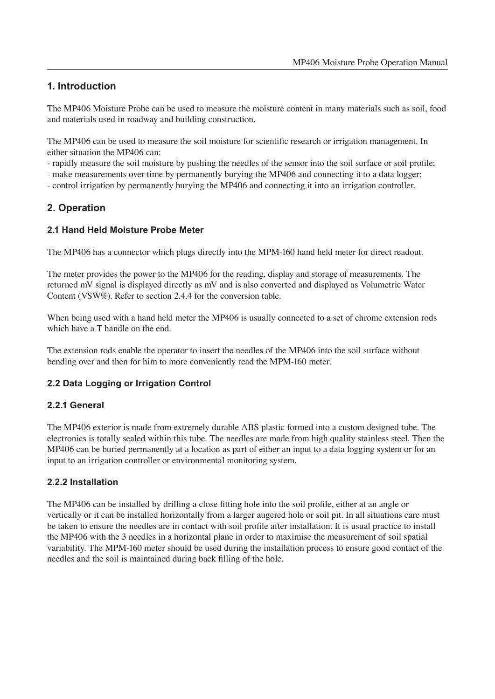#### **1. Introduction**

The MP406 Moisture Probe can be used to measure the moisture content in many materials such as soil, food and materials used in roadway and building construction.

The MP406 can be used to measure the soil moisture for scientific research or irrigation management. In either situation the MP406 can:

- rapidly measure the soil moisture by pushing the needles of the sensor into the soil surface or soil profile;

- make measurements over time by permanently burying the MP406 and connecting it to a data logger;

- control irrigation by permanently burying the MP406 and connecting it into an irrigation controller.

#### **2. Operation**

#### **2.1 Hand Held Moisture Probe Meter**

The MP406 has a connector which plugs directly into the MPM-160 hand held meter for direct readout.

The meter provides the power to the MP406 for the reading, display and storage of measurements. The returned mV signal is displayed directly as mV and is also converted and displayed as Volumetric Water Content (VSW%). Refer to section 2.4.4 for the conversion table.

When being used with a hand held meter the MP406 is usually connected to a set of chrome extension rods which have a T handle on the end.

The extension rods enable the operator to insert the needles of the MP406 into the soil surface without bending over and then for him to more conveniently read the MPM-160 meter.

#### **2.2 Data Logging or Irrigation Control**

#### **2.2.1 General**

The MP406 exterior is made from extremely durable ABS plastic formed into a custom designed tube. The electronics is totally sealed within this tube. The needles are made from high quality stainless steel. Then the MP406 can be buried permanently at a location as part of either an input to a data logging system or for an input to an irrigation controller or environmental monitoring system.

#### **2.2.2 Installation**

The MP406 can be installed by drilling a close fitting hole into the soil profile, either at an angle or vertically or it can be installed horizontally from a larger augered hole or soil pit. In all situations care must be taken to ensure the needles are in contact with soil profile after installation. It is usual practice to install the MP406 with the 3 needles in a horizontal plane in order to maximise the measurement of soil spatial variability. The MPM-160 meter should be used during the installation process to ensure good contact of the needles and the soil is maintained during back filling of the hole.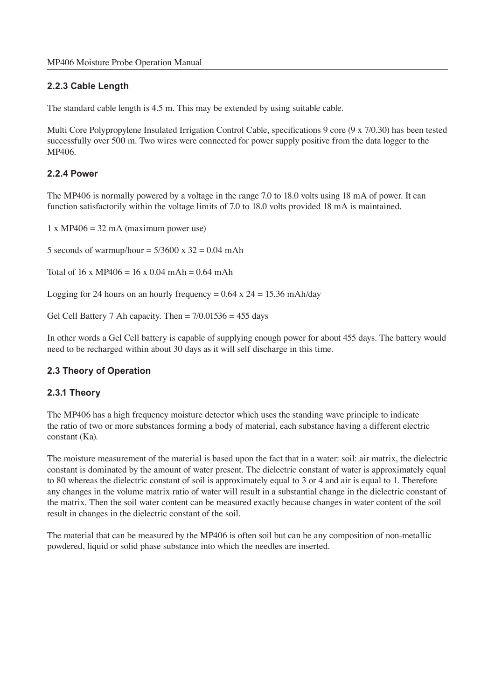#### **2.2.3 Cable Length**

The standard cable length is 4.5 m. This may be extended by using suitable cable.

Multi Core Polypropylene Insulated Irrigation Control Cable, specifications 9 core (9 x 7/0.30) has been tested successfully over 500 m. Two wires were connected for power supply positive from the data logger to the MP406.

#### **2.2.4 Power**

The MP406 is normally powered by a voltage in the range 7.0 to 18.0 volts using 18 mA of power. It can function satisfactorily within the voltage limits of 7.0 to 18.0 volts provided 18 mA is maintained.

 $1 x MP406 = 32 mA (maximum power use)$ 

5 seconds of warmup/hour =  $5/3600 \times 32 = 0.04$  mAh

Total of 16 x MP406 = 16 x 0.04 mAh = 0.64 mAh

Logging for 24 hours on an hourly frequency =  $0.64 \times 24 = 15.36 \text{ mA}$ h/day

Gel Cell Battery 7 Ah capacity. Then  $= 7/0.01536 = 455$  days

In other words a Gel Cell battery is capable of supplying enough power for about 455 days. The battery would need to be recharged within about 30 days as it will self discharge in this time.

#### **2.3 Theory of Operation**

#### **2.3.1 Theory**

The MP406 has a high frequency moisture detector which uses the standing wave principle to indicate the ratio of two or more substances forming a body of material, each substance having a different electric constant (Ka).

The moisture measurement of the material is based upon the fact that in a water: soil: air matrix, the dielectric constant is dominated by the amount of water present. The dielectric constant of water is approximately equal to 80 whereas the dielectric constant of soil is approximately equal to 3 or 4 and air is equal to 1. Therefore any changes in the volume matrix ratio of water will result in a substantial change in the dielectric constant of the matrix. Then the soil water content can be measured exactly because changes in water content of the soil result in changes in the dielectric constant of the soil.

The material that can be measured by the MP406 is often soil but can be any composition of non-metallic powdered, liquid or solid phase substance into which the needles are inserted.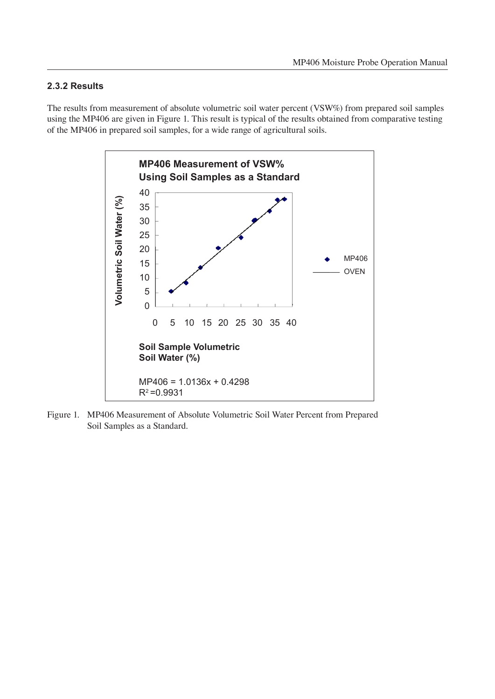#### **2.3.2 Results**

The results from measurement of absolute volumetric soil water percent (VSW%) from prepared soil samples using the MP406 are given in Figure 1. This result is typical of the results obtained from comparative testing of the MP406 in prepared soil samples, for a wide range of agricultural soils.



Figure 1. MP406 Measurement of Absolute Volumetric Soil Water Percent from Prepared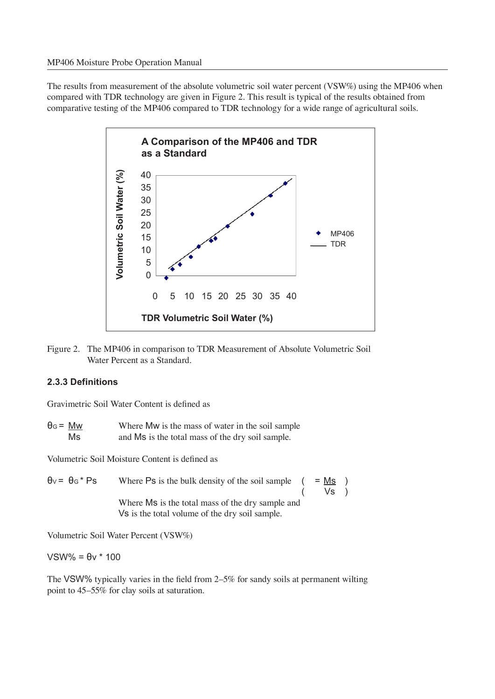The results from measurement of the absolute volumetric soil water percent (VSW%) using the MP406 when compared with TDR technology are given in Figure 2. This result is typical of the results obtained from comparative testing of the MP406 compared to TDR technology for a wide range of agricultural soils.



Figure 2. The MP406 in comparison to TDR Measurement of Absolute Volumetric Soil Water Percent as a Standard.

#### **2.3.3 Definitions**

Gravimetric Soil Water Content is defined as

 $\theta$ G =  $\frac{Mw}{Ms}$  Where Mw is the mass of water in the soil sample<br>Ms and Ms is the total mass of the drv soil sample. and Ms is the total mass of the dry soil sample.

Volumetric Soil Moisture Content is defined as

 $\theta$ v =  $\theta$ G \* Ps Where Ps is the bulk density of the soil sample ( = Ms ) ( Vs ) Where Ms is the total mass of the dry sample and Vs is the total volume of the dry soil sample.

Volumetric Soil Water Percent (VSW%)

VSW% = θv \* 100

The VSW% typically varies in the field from  $2-5\%$  for sandy soils at permanent wilting point to  $45-55\%$  for clay soils at saturation.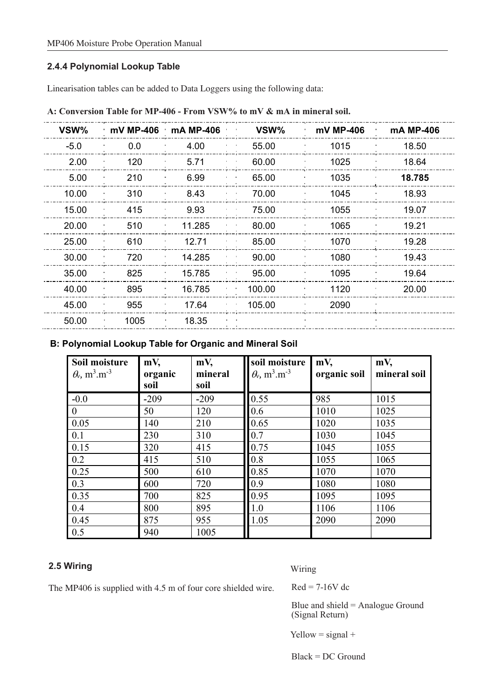#### **2.4.4 Polynomial Lookup Table**

Linearisation tables can be added to Data Loggers using the following data:

| VSW%   | $\cdot$ mV MP-406 $\cdot$ mA MP-406 |        | VSW%   | mV MP-406 | mA MP-406 |
|--------|-------------------------------------|--------|--------|-----------|-----------|
| $-5.0$ | 0.0                                 | 4.00   | 55.00  | 1015      | 18.50     |
| 2.00   | 120                                 | 5.71   | 60.00  | 1025      | 18.64     |
| 5.00   | 210                                 | 6.99   | 65.00  | 1035      | 18.785    |
| 10.00  | 310                                 | 8.43   | 70.00  | 1045      | 18.93     |
| 15.00  | 415                                 | 9.93   | 75.00  | 1055      | 19.07     |
| 20.00  | 510                                 | 11.285 | 80.00  | 1065      | 19.21     |
| 25.00  | 610                                 | 12.71  | 85.00  | 1070      | 19.28     |
| 30.00  | 720                                 | 14.285 | 90.00  | 1080      | 19.43     |
| 35.00  | 825                                 | 15.785 | 95.00  | 1095      | 19.64     |
| 40.00  | 895                                 | 16.785 | 100.00 | 1120      | 20.00     |
| 45.00  | 955                                 | 17.64  | 105.00 | 2090      |           |
| 50.00  | 1005                                | 18.35  |        |           |           |
|        |                                     |        |        |           |           |

**A: Conversion Table for MP-406 - From VSW% to mV & mA in mineral soil.**

#### **B: Polynomial Lookup Table for Organic and Mineral Soil**

| Soil moisture<br>$\theta$ , m <sup>3</sup> .m <sup>-3</sup> | mV,<br>organic | $mV$ ,<br>mineral | soil moisture<br>$\theta_{v}$ , m <sup>3</sup> .m <sup>-3</sup> | $mV$ ,<br>organic soil | mV,<br>mineral soil |
|-------------------------------------------------------------|----------------|-------------------|-----------------------------------------------------------------|------------------------|---------------------|
|                                                             | soil           | soil              |                                                                 |                        |                     |
| $-0.0$                                                      | $-209$         | $-209$            | 0.55                                                            | 985                    | 1015                |
| $\overline{0}$                                              | 50             | 120               | 0.6                                                             | 1010                   | 1025                |
| 0.05                                                        | 140            | 210               | 0.65                                                            | 1020                   | 1035                |
| 0.1                                                         | 230            | 310               | 0.7                                                             | 1030                   | 1045                |
| 0.15                                                        | 320            | 415               | 0.75                                                            | 1045                   | 1055                |
| 0.2                                                         | 415            | 510               | 0.8                                                             | 1055                   | 1065                |
| 0.25                                                        | 500            | 610               | 0.85                                                            | 1070                   | 1070                |
| 0.3                                                         | 600            | 720               | 0.9                                                             | 1080                   | 1080                |
| 0.35                                                        | 700            | 825               | 0.95                                                            | 1095                   | 1095                |
| 0.4                                                         | 800            | 895               | 1.0                                                             | 1106                   | 1106                |
| 0.45                                                        | 875            | 955               | 1.05                                                            | 2090                   | 2090                |
| 0.5                                                         | 940            | 1005              |                                                                 |                        |                     |

#### **2.5 Wiring**

Wiring

The MP406 is supplied with 4.5 m of four core shielded wire.

 $Red = 7-16V$  dc

Blue and shield = Analogue Ground (Signal Return)

Yellow = signal +

Black = DC Ground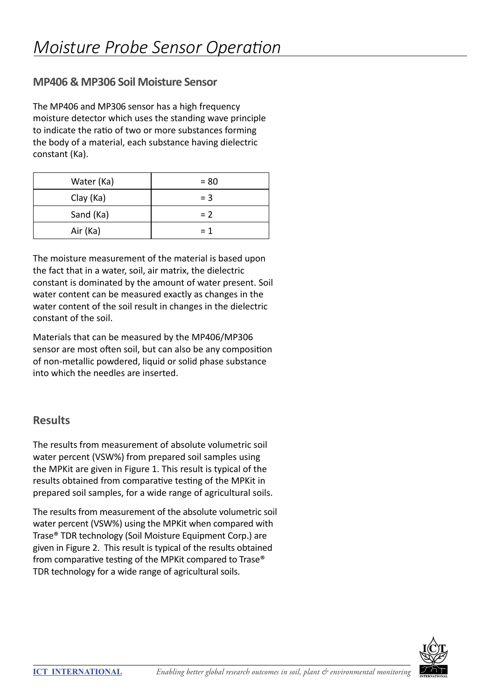#### **MP406 & MP306 Soil Moisture Sensor**

The MP406 and MP306 sensor has a high frequency moisture detector which uses the standing wave principle to indicate the ratio of two or more substances forming the body of a material, each substance having dielectric constant (Ka).

| Water (Ka) | $= 80$ |
|------------|--------|
| Clay (Ka)  | $=$ 3  |
| Sand (Ka)  | $= 2$  |
| Air (Ka)   | $= 1$  |

The moisture measurement of the material is based upon the fact that in a water, soil, air matrix, the dielectric constant is dominated by the amount of water present. Soil water content can be measured exactly as changes in the water content of the soil result in changes in the dielectric constant of the soil.

Materials that can be measured by the MP406/MP306 sensor are most often soil, but can also be any composition of non-metallic powdered, liquid or solid phase substance into which the needles are inserted.

#### **Results**

The results from measurement of absolute volumetric soil water percent (VSW%) from prepared soil samples using the MPKit are given in Figure 1. This result is typical of the results obtained from comparative testing of the MPKit in prepared soil samples, for a wide range of agricultural soils.

The results from measurement of the absolute volumetric soil water percent (VSW%) using the MPKit when compared with Trase® TDR technology (Soil Moisture Equipment Corp.) are given in Figure 2. This result is typical of the results obtained from comparative testing of the MPKit compared to Trase® TDR technology for a wide range of agricultural soils.

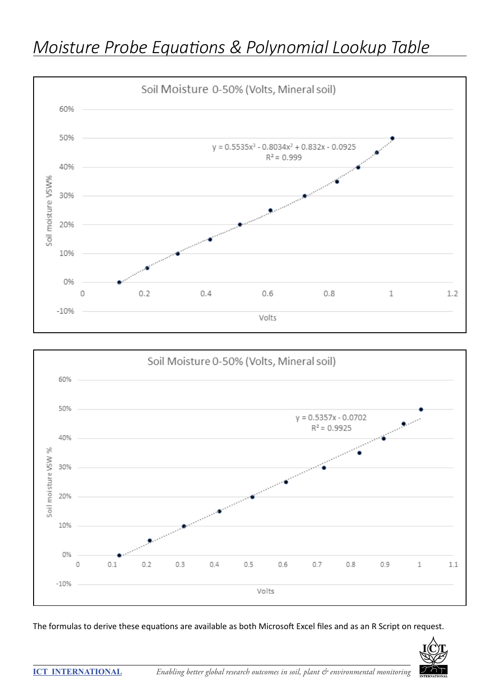





The formulas to derive these equations are available as both Microsoft Excel files and as an R Script on request.

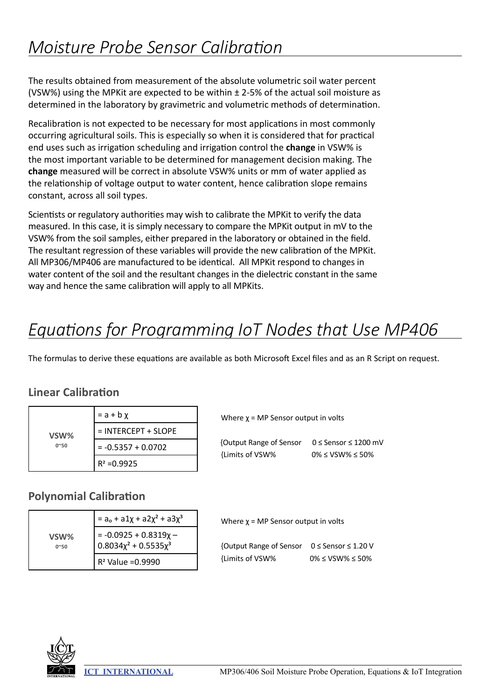The results obtained from measurement of the absolute volumetric soil water percent (VSW%) using the MPK it are expected to be within  $\pm$  2-5% of the actual soil moisture as determined in the laboratory by gravimetric and volumetric methods of determination.

Recalibration is not expected to be necessary for most applications in most commonly occurring agricultural soils. This is especially so when it is considered that for practical end uses such as irrigation scheduling and irrigation control the **change** in VSW% is the most important variable to be determined for management decision making. The **change** measured will be correct in absolute VSW% units or mm of water applied as the relationship of voltage output to water content, hence calibration slope remains constant, across all soil types.

Scientists or regulatory authorities may wish to calibrate the MPKit to verify the data measured. In this case, it is simply necessary to compare the MPKit output in mV to the VSW% from the soil samples, either prepared in the laboratory or obtained in the field. The resultant regression of these variables will provide the new calibration of the MPKit. All MP306/MP406 are manufactured to be identical. All MPKit respond to changes in water content of the soil and the resultant changes in the dielectric constant in the same way and hence the same calibration will apply to all MPKits.

## *Equations for Programming IoT Nodes that Use MP406*

The formulas to derive these equations are available as both Microsoft Excel files and as an R Script on request.

### **Linear Calibration**

|              | $= a + b \chi$        |
|--------------|-----------------------|
| VSW%         | $=$ INTERCEPT + SLOPE |
| $0^{\sim}50$ | $= -0.5357 + 0.0702$  |
|              | $R^2 = 0.9925$        |

#### **Polynomial Calibration**

|                      | $=$ a <sub>o</sub> + a1x + a2x <sup>2</sup> + a3x <sup>3</sup>       |
|----------------------|----------------------------------------------------------------------|
| VSW%<br>$0^{\sim}50$ | = -0.0925 + 0.8319x -<br>0.8034x <sup>2</sup> + 0.5535x <sup>3</sup> |
|                      | $R^2$ Value = 0.9990                                                 |

| {Output Range of Sensor | $0 \leq$ Sensor $\leq$ 1200 mV |
|-------------------------|--------------------------------|
| {Limits of VSW%         | $0\% \leq VSW\% \leq 50\%$     |

Where  $\chi$  = MP Sensor output in volts

Where  $\chi$  = MP Sensor output in volts

| {Output Range of Sensor 0 ≤ Sensor ≤ 1.20 V |                            |
|---------------------------------------------|----------------------------|
| {Limits of VSW%                             | $0\% \leq VSW\% \leq 50\%$ |

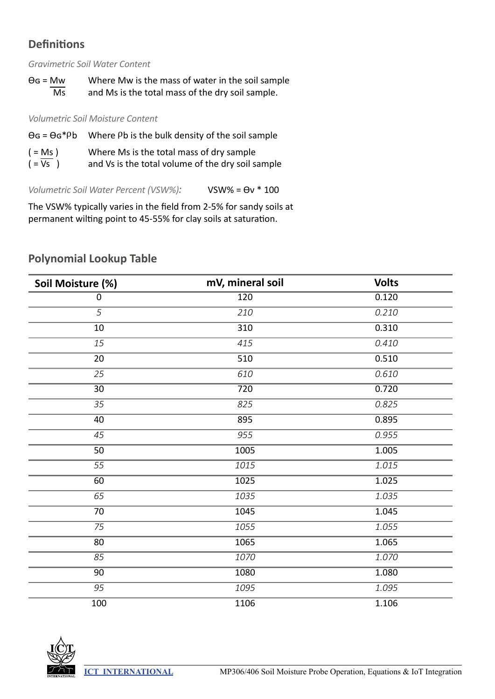### **Definitions**

*Gravimetric Soil Water Content*

| $\Theta$ G = Mw | Where Mw is the mass of water in the soil sample |
|-----------------|--------------------------------------------------|
| Ms              | and Ms is the total mass of the dry soil sample. |

*Volumetric Soil Moisture Content*

| $\Theta$ G = $\Theta$ G*Pb | Where Pb is the bulk density of the soil sample   |
|----------------------------|---------------------------------------------------|
| $( = Ms )$                 | Where Ms is the total mass of dry sample          |
| $( = Vs )$                 | and Vs is the total volume of the dry soil sample |

*Volumetric Soil Water Percent (VSW%):* VSW% = Ɵν \* 100

The VSW% typically varies in the field from 2-5% for sandy soils at permanent wilting point to 45-55% for clay soils at saturation.

| Soil Moisture (%) | mV, mineral soil | <b>Volts</b> |
|-------------------|------------------|--------------|
| $\pmb{0}$         | 120              | 0.120        |
| $\overline{5}$    | 210              | 0.210        |
| 10                | 310              | 0.310        |
| 15                | 415              | 0.410        |
| 20                | 510              | 0.510        |
| 25                | 610              | 0.610        |
| $\overline{30}$   | 720              | 0.720        |
| 35                | 825              | 0.825        |
| 40                | 895              | 0.895        |
| $\overline{45}$   | 955              | 0.955        |
| 50                | 1005             | 1.005        |
| 55                | 1015             | 1.015        |
| 60                | 1025             | 1.025        |
| 65                | 1035             | 1.035        |
| 70                | 1045             | 1.045        |
| 75                | 1055             | 1.055        |
| 80                | 1065             | 1.065        |
| 85                | 1070             | 1.070        |
| 90                | 1080             | 1.080        |
| 95                | 1095             | 1.095        |
| 100               | 1106             | 1.106        |

### **Polynomial Lookup Table**